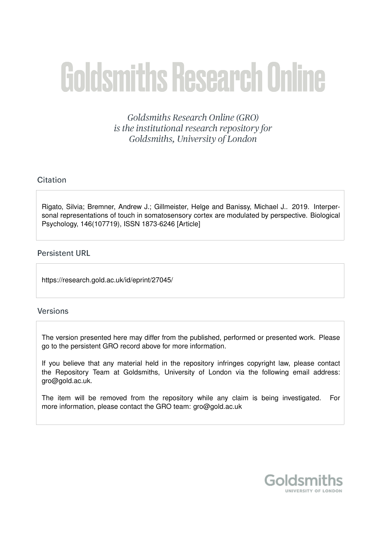# **Goldsmiths Research Online**

Goldsmiths Research Online (GRO) is the institutional research repository for Goldsmiths, University of London

# Citation

Rigato, Silvia; Bremner, Andrew J.; Gillmeister, Helge and Banissy, Michael J.. 2019. Interpersonal representations of touch in somatosensory cortex are modulated by perspective. Biological Psychology, 146(107719), ISSN 1873-6246 [Article]

# **Persistent URL**

https://research.gold.ac.uk/id/eprint/27045/

### **Versions**

The version presented here may differ from the published, performed or presented work. Please go to the persistent GRO record above for more information.

If you believe that any material held in the repository infringes copyright law, please contact the Repository Team at Goldsmiths, University of London via the following email address: gro@gold.ac.uk.

The item will be removed from the repository while any claim is being investigated. For more information, please contact the GRO team: gro@gold.ac.uk

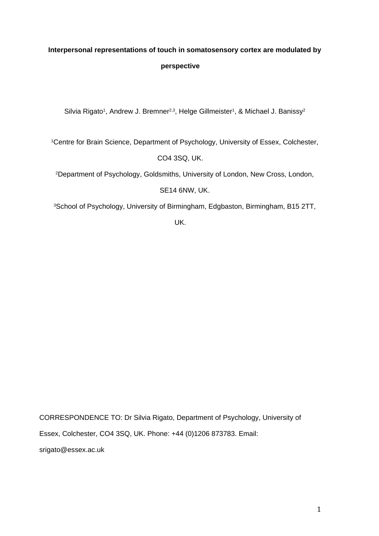# **Interpersonal representations of touch in somatosensory cortex are modulated by perspective**

Silvia Rigato<sup>1</sup>, Andrew J. Bremner<sup>2,3</sup>, Helge Gillmeister<sup>1</sup>, & Michael J. Banissy<sup>2</sup>

<sup>1</sup>Centre for Brain Science, Department of Psychology, University of Essex, Colchester,

CO4 3SQ, UK.

<sup>2</sup>Department of Psychology, Goldsmiths, University of London, New Cross, London,

SE14 6NW, UK.

<sup>3</sup>School of Psychology, University of Birmingham, Edgbaston, Birmingham, B15 2TT,

UK.

CORRESPONDENCE TO: Dr Silvia Rigato, Department of Psychology, University of Essex, Colchester, CO4 3SQ, UK. Phone: +44 (0)1206 873783. Email: srigato@essex.ac.uk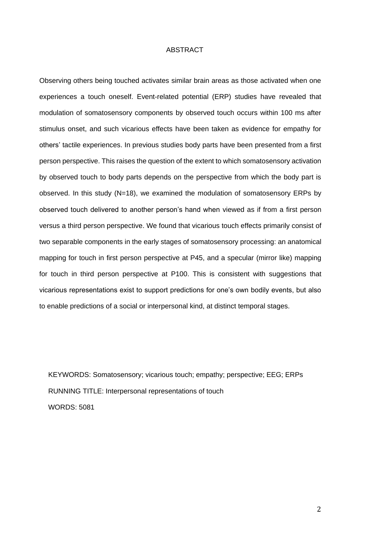#### ABSTRACT

Observing others being touched activates similar brain areas as those activated when one experiences a touch oneself. Event-related potential (ERP) studies have revealed that modulation of somatosensory components by observed touch occurs within 100 ms after stimulus onset, and such vicarious effects have been taken as evidence for empathy for others' tactile experiences. In previous studies body parts have been presented from a first person perspective. This raises the question of the extent to which somatosensory activation by observed touch to body parts depends on the perspective from which the body part is observed. In this study (N=18), we examined the modulation of somatosensory ERPs by observed touch delivered to another person's hand when viewed as if from a first person versus a third person perspective. We found that vicarious touch effects primarily consist of two separable components in the early stages of somatosensory processing: an anatomical mapping for touch in first person perspective at P45, and a specular (mirror like) mapping for touch in third person perspective at P100. This is consistent with suggestions that vicarious representations exist to support predictions for one's own bodily events, but also to enable predictions of a social or interpersonal kind, at distinct temporal stages.

KEYWORDS: Somatosensory; vicarious touch; empathy; perspective; EEG; ERPs RUNNING TITLE: Interpersonal representations of touch WORDS: 5081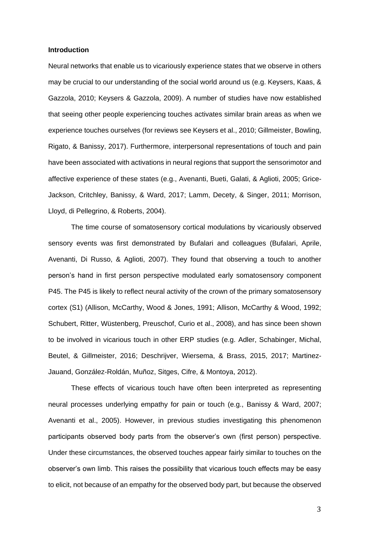#### **Introduction**

Neural networks that enable us to vicariously experience states that we observe in others may be crucial to our understanding of the social world around us (e.g. Keysers, Kaas, & Gazzola, 2010; Keysers & Gazzola, 2009). A number of studies have now established that seeing other people experiencing touches activates similar brain areas as when we experience touches ourselves (for reviews see Keysers et al., 2010; Gillmeister, Bowling, Rigato, & Banissy, 2017). Furthermore, interpersonal representations of touch and pain have been associated with activations in neural regions that support the sensorimotor and affective experience of these states (e.g., Avenanti, Bueti, Galati, & Aglioti, 2005; Grice-Jackson, Critchley, Banissy, & Ward, 2017; Lamm, Decety, & Singer, 2011; Morrison, Lloyd, di Pellegrino, & Roberts, 2004).

The time course of somatosensory cortical modulations by vicariously observed sensory events was first demonstrated by Bufalari and colleagues (Bufalari, Aprile, Avenanti, Di Russo, & Aglioti, 2007). They found that observing a touch to another person's hand in first person perspective modulated early somatosensory component P45. The P45 is likely to reflect neural activity of the crown of the primary somatosensory cortex (S1) (Allison, McCarthy, Wood & Jones, 1991; Allison, McCarthy & Wood, 1992; Schubert, Ritter, Wüstenberg, Preuschof, Curio et al., 2008), and has since been shown to be involved in vicarious touch in other ERP studies (e.g. Adler, Schabinger, Michal, Beutel, & Gillmeister, 2016; Deschrijver, Wiersema, & Brass, 2015, 2017; Martinez-Jauand, González-Roldán, Muñoz, Sitges, Cifre, & Montoya, 2012).

These effects of vicarious touch have often been interpreted as representing neural processes underlying empathy for pain or touch (e.g., Banissy & Ward, 2007; Avenanti et al., 2005). However, in previous studies investigating this phenomenon participants observed body parts from the observer's own (first person) perspective. Under these circumstances, the observed touches appear fairly similar to touches on the observer's own limb. This raises the possibility that vicarious touch effects may be easy to elicit, not because of an empathy for the observed body part, but because the observed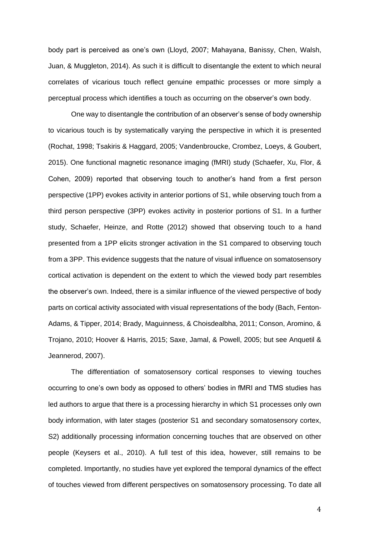body part is perceived as one's own (Lloyd, 2007; Mahayana, Banissy, Chen, Walsh, Juan, & Muggleton, 2014). As such it is difficult to disentangle the extent to which neural correlates of vicarious touch reflect genuine empathic processes or more simply a perceptual process which identifies a touch as occurring on the observer's own body.

One way to disentangle the contribution of an observer's sense of body ownership to vicarious touch is by systematically varying the perspective in which it is presented (Rochat, 1998; Tsakiris & Haggard, 2005; Vandenbroucke, Crombez, Loeys, & Goubert, 2015). One functional magnetic resonance imaging (fMRI) study (Schaefer, Xu, Flor, & Cohen, 2009) reported that observing touch to another's hand from a first person perspective (1PP) evokes activity in anterior portions of S1, while observing touch from a third person perspective (3PP) evokes activity in posterior portions of S1. In a further study, Schaefer, Heinze, and Rotte (2012) showed that observing touch to a hand presented from a 1PP elicits stronger activation in the S1 compared to observing touch from a 3PP. This evidence suggests that the nature of visual influence on somatosensory cortical activation is dependent on the extent to which the viewed body part resembles the observer's own. Indeed, there is a similar influence of the viewed perspective of body parts on cortical activity associated with visual representations of the body (Bach, Fenton-Adams, & Tipper, 2014; Brady, Maguinness, & Choisdealbha, 2011; Conson, Aromino, & Trojano, 2010; Hoover & Harris, 2015; Saxe, Jamal, & Powell, 2005; but see Anquetil & Jeannerod, 2007).

The differentiation of somatosensory cortical responses to viewing touches occurring to one's own body as opposed to others' bodies in fMRI and TMS studies has led authors to argue that there is a processing hierarchy in which S1 processes only own body information, with later stages (posterior S1 and secondary somatosensory cortex, S2) additionally processing information concerning touches that are observed on other people (Keysers et al., 2010). A full test of this idea, however, still remains to be completed. Importantly, no studies have yet explored the temporal dynamics of the effect of touches viewed from different perspectives on somatosensory processing. To date all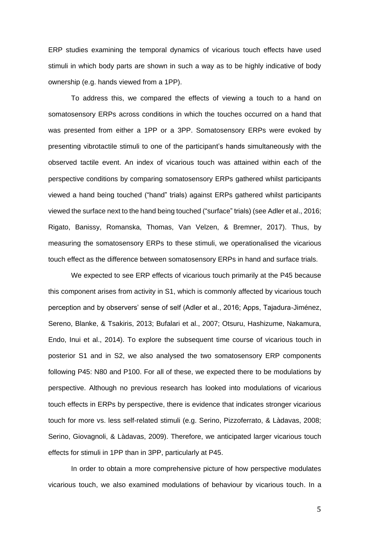ERP studies examining the temporal dynamics of vicarious touch effects have used stimuli in which body parts are shown in such a way as to be highly indicative of body ownership (e.g. hands viewed from a 1PP).

To address this, we compared the effects of viewing a touch to a hand on somatosensory ERPs across conditions in which the touches occurred on a hand that was presented from either a 1PP or a 3PP. Somatosensory ERPs were evoked by presenting vibrotactile stimuli to one of the participant's hands simultaneously with the observed tactile event. An index of vicarious touch was attained within each of the perspective conditions by comparing somatosensory ERPs gathered whilst participants viewed a hand being touched ("hand" trials) against ERPs gathered whilst participants viewed the surface next to the hand being touched ("surface" trials) (see Adler et al., 2016; Rigato, Banissy, Romanska, Thomas, Van Velzen, & Bremner, 2017). Thus, by measuring the somatosensory ERPs to these stimuli, we operationalised the vicarious touch effect as the difference between somatosensory ERPs in hand and surface trials.

We expected to see ERP effects of vicarious touch primarily at the P45 because this component arises from activity in S1, which is commonly affected by vicarious touch perception and by observers' sense of self (Adler et al., 2016; Apps, Tajadura-Jiménez, Sereno, Blanke, & Tsakiris, 2013; Bufalari et al., 2007; Otsuru, Hashizume, Nakamura, Endo, Inui et al., 2014). To explore the subsequent time course of vicarious touch in posterior S1 and in S2, we also analysed the two somatosensory ERP components following P45: N80 and P100. For all of these, we expected there to be modulations by perspective. Although no previous research has looked into modulations of vicarious touch effects in ERPs by perspective, there is evidence that indicates stronger vicarious touch for more vs. less self-related stimuli (e.g. Serino, Pizzoferrato, & Làdavas, 2008; Serino, Giovagnoli, & Làdavas, 2009). Therefore, we anticipated larger vicarious touch effects for stimuli in 1PP than in 3PP, particularly at P45.

In order to obtain a more comprehensive picture of how perspective modulates vicarious touch, we also examined modulations of behaviour by vicarious touch. In a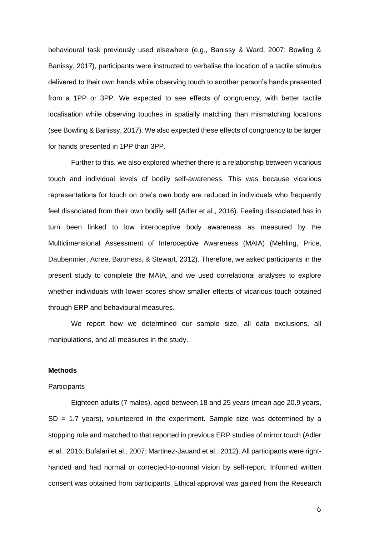behavioural task previously used elsewhere (e.g., Banissy & Ward, 2007; Bowling & Banissy, 2017), participants were instructed to verbalise the location of a tactile stimulus delivered to their own hands while observing touch to another person's hands presented from a 1PP or 3PP. We expected to see effects of congruency, with better tactile localisation while observing touches in spatially matching than mismatching locations (see Bowling & Banissy, 2017). We also expected these effects of congruency to be larger for hands presented in 1PP than 3PP.

Further to this, we also explored whether there is a relationship between vicarious touch and individual levels of bodily self-awareness. This was because vicarious representations for touch on one's own body are reduced in individuals who frequently feel dissociated from their own bodily self (Adler et al., 2016). Feeling dissociated has in turn been linked to low interoceptive body awareness as measured by the Multidimensional Assessment of Interoceptive Awareness (MAIA) (Mehling, Price, Daubenmier, Acree, Bartmess, & Stewart, 2012). Therefore, we asked participants in the present study to complete the MAIA, and we used correlational analyses to explore whether individuals with lower scores show smaller effects of vicarious touch obtained through ERP and behavioural measures.

We report how we determined our sample size, all data exclusions, all manipulations, and all measures in the study.

#### **Methods**

#### **Participants**

Eighteen adults (7 males), aged between 18 and 25 years (mean age 20.9 years,  $SD = 1.7$  years), volunteered in the experiment. Sample size was determined by a stopping rule and matched to that reported in previous ERP studies of mirror touch (Adler et al., 2016; Bufalari et al., 2007; Martinez-Jauand et al., 2012). All participants were righthanded and had normal or corrected-to-normal vision by self-report. Informed written consent was obtained from participants. Ethical approval was gained from the Research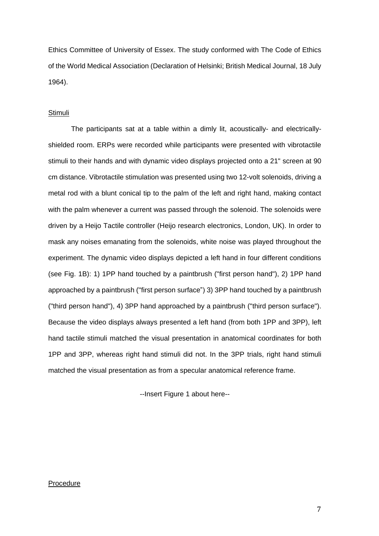Ethics Committee of University of Essex. The study conformed with The Code of Ethics of the World Medical Association (Declaration of Helsinki; British Medical Journal, 18 July 1964).

#### **Stimuli**

The participants sat at a table within a dimly lit, acoustically- and electricallyshielded room. ERPs were recorded while participants were presented with vibrotactile stimuli to their hands and with dynamic video displays projected onto a 21" screen at 90 cm distance. Vibrotactile stimulation was presented using two 12-volt solenoids, driving a metal rod with a blunt conical tip to the palm of the left and right hand, making contact with the palm whenever a current was passed through the solenoid. The solenoids were driven by a Heijo Tactile controller (Heijo research electronics, London, UK). In order to mask any noises emanating from the solenoids, white noise was played throughout the experiment. The dynamic video displays depicted a left hand in four different conditions (see Fig. 1B): 1) 1PP hand touched by a paintbrush ("first person hand"), 2) 1PP hand approached by a paintbrush ("first person surface") 3) 3PP hand touched by a paintbrush ("third person hand"), 4) 3PP hand approached by a paintbrush ("third person surface"). Because the video displays always presented a left hand (from both 1PP and 3PP), left hand tactile stimuli matched the visual presentation in anatomical coordinates for both 1PP and 3PP, whereas right hand stimuli did not. In the 3PP trials, right hand stimuli matched the visual presentation as from a specular anatomical reference frame.

--Insert Figure 1 about here--

#### Procedure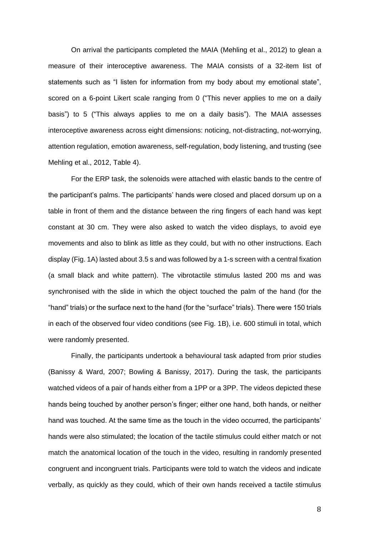On arrival the participants completed the MAIA (Mehling et al., 2012) to glean a measure of their interoceptive awareness. The MAIA consists of a 32-item list of statements such as "I listen for information from my body about my emotional state", scored on a 6-point Likert scale ranging from 0 ("This never applies to me on a daily basis") to 5 ("This always applies to me on a daily basis"). The MAIA assesses interoceptive awareness across eight dimensions: noticing, not-distracting, not-worrying, attention regulation, emotion awareness, self-regulation, body listening, and trusting (see Mehling et al., 2012, Table 4).

For the ERP task, the solenoids were attached with elastic bands to the centre of the participant's palms. The participants' hands were closed and placed dorsum up on a table in front of them and the distance between the ring fingers of each hand was kept constant at 30 cm. They were also asked to watch the video displays, to avoid eye movements and also to blink as little as they could, but with no other instructions. Each display (Fig. 1A) lasted about 3.5 s and was followed by a 1-s screen with a central fixation (a small black and white pattern). The vibrotactile stimulus lasted 200 ms and was synchronised with the slide in which the object touched the palm of the hand (for the "hand" trials) or the surface next to the hand (for the "surface" trials). There were 150 trials in each of the observed four video conditions (see Fig. 1B), i.e. 600 stimuli in total, which were randomly presented.

Finally, the participants undertook a behavioural task adapted from prior studies (Banissy & Ward, 2007; Bowling & Banissy, 2017). During the task, the participants watched videos of a pair of hands either from a 1PP or a 3PP. The videos depicted these hands being touched by another person's finger; either one hand, both hands, or neither hand was touched. At the same time as the touch in the video occurred, the participants' hands were also stimulated; the location of the tactile stimulus could either match or not match the anatomical location of the touch in the video, resulting in randomly presented congruent and incongruent trials. Participants were told to watch the videos and indicate verbally, as quickly as they could, which of their own hands received a tactile stimulus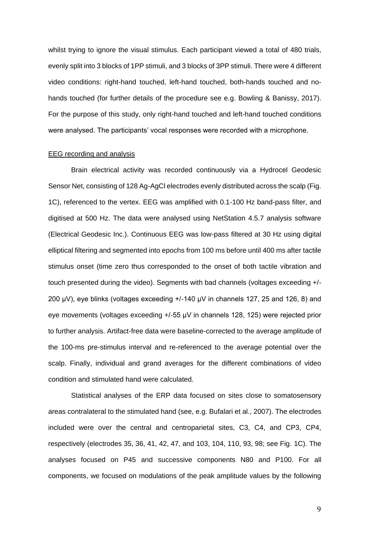whilst trying to ignore the visual stimulus. Each participant viewed a total of 480 trials, evenly split into 3 blocks of 1PP stimuli, and 3 blocks of 3PP stimuli. There were 4 different video conditions: right-hand touched, left-hand touched, both-hands touched and nohands touched (for further details of the procedure see e.g. Bowling & Banissy, 2017). For the purpose of this study, only right-hand touched and left-hand touched conditions were analysed. The participants' vocal responses were recorded with a microphone.

#### EEG recording and analysis

Brain electrical activity was recorded continuously via a Hydrocel Geodesic Sensor Net, consisting of 128 Ag-AgCl electrodes evenly distributed across the scalp (Fig. 1C), referenced to the vertex. EEG was amplified with 0.1-100 Hz band-pass filter, and digitised at 500 Hz. The data were analysed using NetStation 4.5.7 analysis software (Electrical Geodesic Inc.). Continuous EEG was low-pass filtered at 30 Hz using digital elliptical filtering and segmented into epochs from 100 ms before until 400 ms after tactile stimulus onset (time zero thus corresponded to the onset of both tactile vibration and touch presented during the video). Segments with bad channels (voltages exceeding +/- 200 μV), eye blinks (voltages exceeding +/-140 μV in channels 127, 25 and 126, 8) and eye movements (voltages exceeding +/-55 μV in channels 128, 125) were rejected prior to further analysis. Artifact-free data were baseline-corrected to the average amplitude of the 100-ms pre-stimulus interval and re-referenced to the average potential over the scalp. Finally, individual and grand averages for the different combinations of video condition and stimulated hand were calculated.

Statistical analyses of the ERP data focused on sites close to somatosensory areas contralateral to the stimulated hand (see, e.g. Bufalari et al., 2007). The electrodes included were over the central and centroparietal sites, C3, C4, and CP3, CP4, respectively (electrodes 35, 36, 41, 42, 47, and 103, 104, 110, 93, 98; see Fig. 1C). The analyses focused on P45 and successive components N80 and P100. For all components, we focused on modulations of the peak amplitude values by the following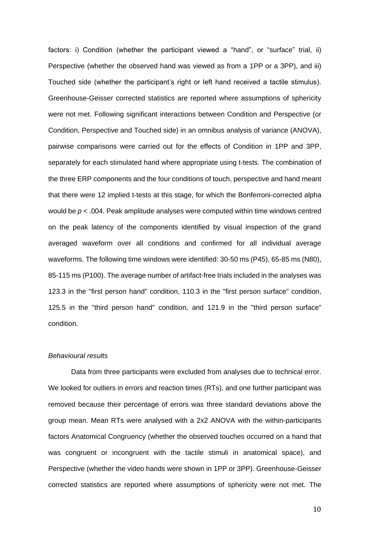factors: i) Condition (whether the participant viewed a "hand", or "surface" trial, ii) Perspective (whether the observed hand was viewed as from a 1PP or a 3PP), and iii) Touched side (whether the participant's right or left hand received a tactile stimulus). Greenhouse-Geisser corrected statistics are reported where assumptions of sphericity were not met. Following significant interactions between Condition and Perspective (or Condition, Perspective and Touched side) in an omnibus analysis of variance (ANOVA), pairwise comparisons were carried out for the effects of Condition in 1PP and 3PP, separately for each stimulated hand where appropriate using t-tests. The combination of the three ERP components and the four conditions of touch, perspective and hand meant that there were 12 implied t-tests at this stage, for which the Bonferroni-corrected alpha would be  $p < .004$ . Peak amplitude analyses were computed within time windows centred on the peak latency of the components identified by visual inspection of the grand averaged waveform over all conditions and confirmed for all individual average waveforms. The following time windows were identified: 30-50 ms (P45), 65-85 ms (N80), 85-115 ms (P100). The average number of artifact-free trials included in the analyses was 123.3 in the "first person hand" condition, 110.3 in the "first person surface" condition, 125.5 in the "third person hand" condition, and 121.9 in the "third person surface" condition.

#### *Behavioural results*

Data from three participants were excluded from analyses due to technical error. We looked for outliers in errors and reaction times (RTs), and one further participant was removed because their percentage of errors was three standard deviations above the group mean. Mean RTs were analysed with a 2x2 ANOVA with the within-participants factors Anatomical Congruency (whether the observed touches occurred on a hand that was congruent or incongruent with the tactile stimuli in anatomical space), and Perspective (whether the video hands were shown in 1PP or 3PP). Greenhouse-Geisser corrected statistics are reported where assumptions of sphericity were not met. The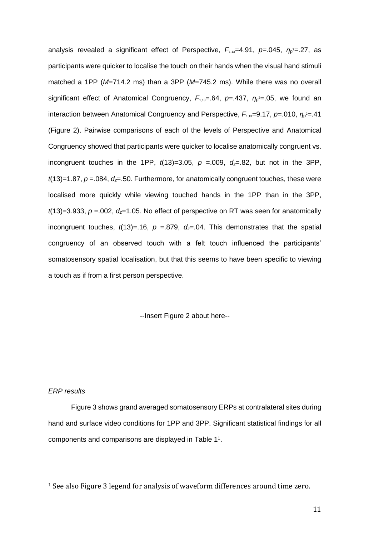analysis revealed a significant effect of Perspective,  $F_{1,13}=4.91$ ,  $p=.045$ ,  $η<sub>p</sub>²=.27$ , as participants were quicker to localise the touch on their hands when the visual hand stimuli matched a 1PP (*M*=714.2 ms) than a 3PP (*M*=745.2 ms). While there was no overall significant effect of Anatomical Congruency,  $F_{1,13}=64$ ,  $p=437$ ,  $η<sub>p</sub>²=05$ , we found an interaction between Anatomical Congruency and Perspective, *F*<sub>1,13</sub>=9.17, *p*=.010, *η*<sub>p</sub><sup>2</sup>=.41 (Figure 2). Pairwise comparisons of each of the levels of Perspective and Anatomical Congruency showed that participants were quicker to localise anatomically congruent vs. incongruent touches in the 1PP,  $t(13)=3.05$ ,  $p = .009$ ,  $d_z = .82$ , but not in the 3PP,  $t(13)=1.87$ ,  $p=.084$ ,  $d_z=.50$ . Furthermore, for anatomically congruent touches, these were localised more quickly while viewing touched hands in the 1PP than in the 3PP,  $t(13)=3.933$ ,  $p=.002$ ,  $d<sub>z</sub>=1.05$ . No effect of perspective on RT was seen for anatomically incongruent touches,  $t(13)=16$ ,  $p=879$ ,  $d_z=04$ . This demonstrates that the spatial congruency of an observed touch with a felt touch influenced the participants' somatosensory spatial localisation, but that this seems to have been specific to viewing a touch as if from a first person perspective.

--Insert Figure 2 about here--

#### *ERP results*

<u>.</u>

Figure 3 shows grand averaged somatosensory ERPs at contralateral sites during hand and surface video conditions for 1PP and 3PP. Significant statistical findings for all components and comparisons are displayed in Table 1<sup>1</sup> .

<sup>1</sup> See also Figure 3 legend for analysis of waveform differences around time zero.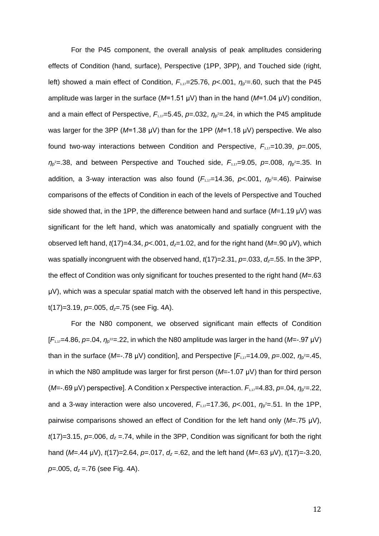For the P45 component, the overall analysis of peak amplitudes considering effects of Condition (hand, surface), Perspective (1PP, 3PP), and Touched side (right, left) showed a main effect of Condition, *F*<sub>1,17</sub>=25.76, *p*<.001, *η*<sub>ρ</sub><sup>2</sup>=.60, such that the P45 amplitude was larger in the surface (*M*=1.51 μV) than in the hand (*M*=1.04 μV) condition, and a main effect of Perspective,  $F_{1,17}=5.45$ ,  $p=.032$ ,  $\eta_{p}^2=.24$ , in which the P45 amplitude was larger for the 3PP (*M*=1.38 μV) than for the 1PP (*M*=1.18 μV) perspective. We also found two-way interactions between Condition and Perspective,  $F_{1,17}=10.39$ ,  $p=.005$ , *η*p <sup>2</sup>=.38, and between Perspective and Touched side, *F*1,17=9.05, *p*=.008, *η*<sup>p</sup> <sup>2</sup>=.35. In addition, a 3-way interaction was also found (*F*<sub>1,17</sub>=14.36, *p*<.001, *η*<sub>ρ</sub><sup>2</sup>=.46). Pairwise comparisons of the effects of Condition in each of the levels of Perspective and Touched side showed that, in the 1PP, the difference between hand and surface (*M*=1.19 μV) was significant for the left hand, which was anatomically and spatially congruent with the observed left hand, *t*(17)=4.34, *p*<.001, *dz*=1.02, and for the right hand (*M*=.90 μV), which was spatially incongruent with the observed hand,  $t(17)=2.31$ ,  $p=0.033$ ,  $d<sub>z</sub>=0.55$ . In the 3PP, the effect of Condition was only significant for touches presented to the right hand (*M*=.63 μV), which was a specular spatial match with the observed left hand in this perspective, t(17)=3.19, *p*=.005, *dz*=.75 (see Fig. 4A).

For the N80 component, we observed significant main effects of Condition  $[F_{1,17}=4.86, p=.04, \eta_{p}^{22}=.22,$  in which the N80 amplitude was larger in the hand (M=-.97  $\mu$ V) than in the surface (M=-.78 μV) condition], and Perspective [F<sub>1,17</sub>=14.09, p=.002, η<sub>ρ</sub><sup>2</sup>=.45, in which the N80 amplitude was larger for first person (*M*=-1.07 μV) than for third person (*M*=-.69 μV) perspective]. A Condition x Perspective interaction. *F*1,17=4.83, *p*=.04, *η*<sup>p</sup> <sup>2</sup>=.22, and a 3-way interaction were also uncovered,  $F_{1,17}=17.36$ ,  $p<.001$ ,  $\eta_{p}^2=.51$ . In the 1PP, pairwise comparisons showed an effect of Condition for the left hand only (*M*=.75 μV),  $t(17)=3.15$ ,  $p=.006$ ,  $d_z=.74$ , while in the 3PP, Condition was significant for both the right hand (*M*=.44 μV), *t*(17)=2.64, *p*=.017, *d<sup>z</sup>* =.62, and the left hand (*M*=.63 μV), *t*(17)=-3.20, *p*=.005, *d<sup>z</sup>* =.76 (see Fig. 4A).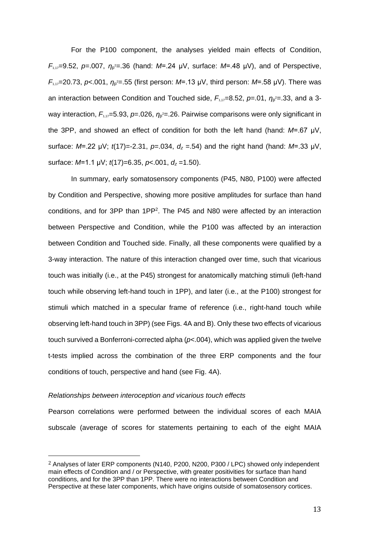For the P100 component, the analyses yielded main effects of Condition, *F*1,17=9.52, *p*=.007, *η*<sup>p</sup> <sup>2</sup>=.36 (hand: *M*=.24 μV, surface: *M*=.48 μV), and of Perspective, *F*<sub>1,17</sub>=20.73, *p*<.001, *η*<sub>p</sub><sup>2</sup>=.55 (first person: *M*=.13 μV, third person: *M*=.58 μV). There was an interaction between Condition and Touched side,  $F_{1,17}=8.52$ ,  $p=01$ ,  $η<sub>p</sub>²=.33$ , and a 3way interaction, F<sub>1,17</sub>=5.93, p=.026, η<sub>ρ</sub><sup>2</sup>=.26. Pairwise comparisons were only significant in the 3PP, and showed an effect of condition for both the left hand (hand: *M*=.67 μV, surface: *M*=.22 μV; *t*(17)=-2.31, *p*=.034, *d<sup>z</sup>* =.54) and the right hand (hand: *M*=.33 μV, surface: *M*=1.1 μV; *t*(17)=6.35, *p*<.001, *d<sup>z</sup>* =1.50).

In summary, early somatosensory components (P45, N80, P100) were affected by Condition and Perspective, showing more positive amplitudes for surface than hand conditions, and for 3PP than 1PP<sup>2</sup> . The P45 and N80 were affected by an interaction between Perspective and Condition, while the P100 was affected by an interaction between Condition and Touched side. Finally, all these components were qualified by a 3-way interaction. The nature of this interaction changed over time, such that vicarious touch was initially (i.e., at the P45) strongest for anatomically matching stimuli (left-hand touch while observing left-hand touch in 1PP), and later (i.e., at the P100) strongest for stimuli which matched in a specular frame of reference (i.e., right-hand touch while observing left-hand touch in 3PP) (see Figs. 4A and B). Only these two effects of vicarious touch survived a Bonferroni-corrected alpha (*p*<.004), which was applied given the twelve t-tests implied across the combination of the three ERP components and the four conditions of touch, perspective and hand (see Fig. 4A).

#### *Relationships between interoception and vicarious touch effects*

<u>.</u>

Pearson correlations were performed between the individual scores of each MAIA subscale (average of scores for statements pertaining to each of the eight MAIA

<sup>2</sup> Analyses of later ERP components (N140, P200, N200, P300 / LPC) showed only independent main effects of Condition and / or Perspective, with greater positivities for surface than hand conditions, and for the 3PP than 1PP. There were no interactions between Condition and Perspective at these later components, which have origins outside of somatosensory cortices.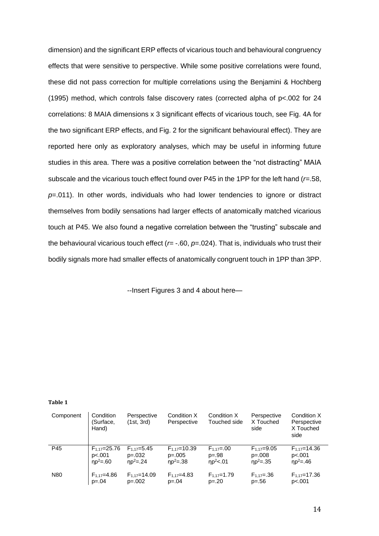dimension) and the significant ERP effects of vicarious touch and behavioural congruency effects that were sensitive to perspective. While some positive correlations were found, these did not pass correction for multiple correlations using the Benjamini & Hochberg (1995) method, which controls false discovery rates (corrected alpha of p<.002 for 24 correlations: 8 MAIA dimensions x 3 significant effects of vicarious touch, see Fig. 4A for the two significant ERP effects, and Fig. 2 for the significant behavioural effect). They are reported here only as exploratory analyses, which may be useful in informing future studies in this area. There was a positive correlation between the "not distracting" MAIA subscale and the vicarious touch effect found over P45 in the 1PP for the left hand (*r*=.58, *p*=.011). In other words, individuals who had lower tendencies to ignore or distract themselves from bodily sensations had larger effects of anatomically matched vicarious touch at P45. We also found a negative correlation between the "trusting" subscale and the behavioural vicarious touch effect (*r*= -.60, *p*=.024). That is, individuals who trust their bodily signals more had smaller effects of anatomically congruent touch in 1PP than 3PP.

--Insert Figures 3 and 4 about here—

**Table 1**

| Component | Condition<br>(Surface,<br>Hand) | Perspective<br>(1st, 3rd) | Condition X<br>Perspective | Condition X<br>Touched side | Perspective<br>X Touched<br>side | Condition X<br>Perspective<br>X Touched<br>side |
|-----------|---------------------------------|---------------------------|----------------------------|-----------------------------|----------------------------------|-------------------------------------------------|
| P45       | $F_{1.17} = 25.76$              | $F_{1.17} = 5.45$         | $F_{1.17} = 10.39$         | $F_{1.17} = .00$            | $F_{1.17} = 9.05$                | $F_{1.17} = 14.36$                              |
|           | p<.001                          | $p=.032$                  | $p=.005$                   | $p=.98$                     | $p=.008$                         | p<.001                                          |
|           | $np^2 = .60$                    | $np^2 = .24$              | $np^2 = .38$               | $np^2 < 01$                 | $np^2 = .35$                     | $np^2 = 46$                                     |
| N80       | $F_{1,17}=4.86$                 | $F_{1.17} = 14.09$        | $F_{1.17}=4.83$            | $F_{1.17} = 1.79$           | $F_{1.17} = .36$                 | $F_{1.17} = 17.36$                              |
|           | $p = 0.04$                      | $p=.002$                  | $p = .04$                  | $p=.20$                     | $p=.56$                          | p<.001                                          |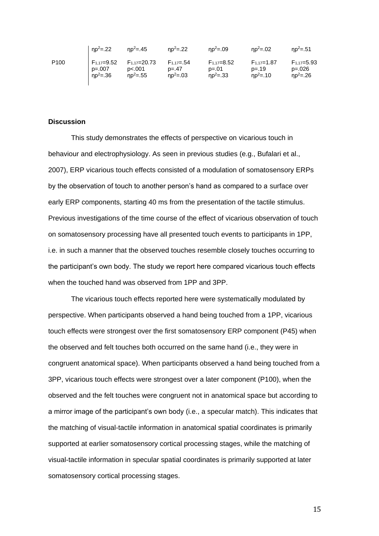|                  | $np^2 = .22$    | $np^2 = .45$       | $np^2 = .22$     | $np^2 = .09$      | $np^2 = .02$    | $np^2 = .51$      |
|------------------|-----------------|--------------------|------------------|-------------------|-----------------|-------------------|
| P <sub>100</sub> | $F_{1.17}=9.52$ | $F_{1.17} = 20.73$ | $F_{1.17} = .54$ | $F_{1.17} = 8.52$ | $F_{1.17}=1.87$ | $F_{1,17} = 5.93$ |
|                  | $p=.007$        | p<.001             | $p = 47$         | $p=.01$           | $p = 19$        | $p=.026$          |
|                  | $np^2 = .36$    | $np^2 = .55$       | $np^2 = .03$     | $np^2 = .33$      | $np^2 = 10$     | $np^2 = .26$      |

#### **Discussion**

This study demonstrates the effects of perspective on vicarious touch in behaviour and electrophysiology. As seen in previous studies (e.g., Bufalari et al., 2007), ERP vicarious touch effects consisted of a modulation of somatosensory ERPs by the observation of touch to another person's hand as compared to a surface over early ERP components, starting 40 ms from the presentation of the tactile stimulus. Previous investigations of the time course of the effect of vicarious observation of touch on somatosensory processing have all presented touch events to participants in 1PP, i.e. in such a manner that the observed touches resemble closely touches occurring to the participant's own body. The study we report here compared vicarious touch effects when the touched hand was observed from 1PP and 3PP.

The vicarious touch effects reported here were systematically modulated by perspective. When participants observed a hand being touched from a 1PP, vicarious touch effects were strongest over the first somatosensory ERP component (P45) when the observed and felt touches both occurred on the same hand (i.e., they were in congruent anatomical space). When participants observed a hand being touched from a 3PP, vicarious touch effects were strongest over a later component (P100), when the observed and the felt touches were congruent not in anatomical space but according to a mirror image of the participant's own body (i.e., a specular match). This indicates that the matching of visual-tactile information in anatomical spatial coordinates is primarily supported at earlier somatosensory cortical processing stages, while the matching of visual-tactile information in specular spatial coordinates is primarily supported at later somatosensory cortical processing stages.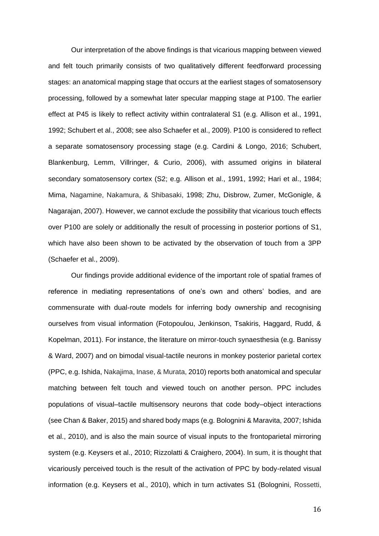Our interpretation of the above findings is that vicarious mapping between viewed and felt touch primarily consists of two qualitatively different feedforward processing stages: an anatomical mapping stage that occurs at the earliest stages of somatosensory processing, followed by a somewhat later specular mapping stage at P100. The earlier effect at P45 is likely to reflect activity within contralateral S1 (e.g. Allison et al., 1991, 1992; Schubert et al., 2008; see also Schaefer et al., 2009). P100 is considered to reflect a separate somatosensory processing stage (e.g. Cardini & Longo, 2016; Schubert, Blankenburg, Lemm, Villringer, & Curio, 2006), with assumed origins in bilateral secondary somatosensory cortex (S2; e.g. Allison et al., 1991, 1992; Hari et al., 1984; Mima, Nagamine, Nakamura, & Shibasaki, 1998; Zhu, Disbrow, Zumer, McGonigle, & Nagarajan, 2007). However, we cannot exclude the possibility that vicarious touch effects over P100 are solely or additionally the result of processing in posterior portions of S1, which have also been shown to be activated by the observation of touch from a 3PP (Schaefer et al., 2009).

Our findings provide additional evidence of the important role of spatial frames of reference in mediating representations of one's own and others' bodies, and are commensurate with dual-route models for inferring body ownership and recognising ourselves from visual information (Fotopoulou, Jenkinson, Tsakiris, Haggard, Rudd, & Kopelman, 2011). For instance, the literature on mirror-touch synaesthesia (e.g. Banissy & Ward, 2007) and on bimodal visual-tactile neurons in monkey posterior parietal cortex (PPC, e.g. Ishida, Nakajima, Inase, & Murata, 2010) reports both anatomical and specular matching between felt touch and viewed touch on another person. PPC includes populations of visual–tactile multisensory neurons that code body–object interactions (see Chan & Baker, 2015) and shared body maps (e.g. Bolognini & Maravita, 2007; Ishida et al., 2010), and is also the main source of visual inputs to the frontoparietal mirroring system (e.g. Keysers et al., 2010; Rizzolatti & Craighero, 2004). In sum, it is thought that vicariously perceived touch is the result of the activation of PPC by body-related visual information (e.g. Keysers et al., 2010), which in turn activates S1 (Bolognini, Rossetti,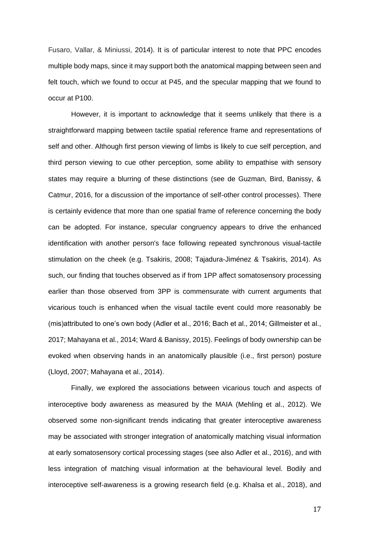Fusaro, Vallar, & Miniussi, 2014). It is of particular interest to note that PPC encodes multiple body maps, since it may support both the anatomical mapping between seen and felt touch, which we found to occur at P45, and the specular mapping that we found to occur at P100.

However, it is important to acknowledge that it seems unlikely that there is a straightforward mapping between tactile spatial reference frame and representations of self and other. Although first person viewing of limbs is likely to cue self perception, and third person viewing to cue other perception, some ability to empathise with sensory states may require a blurring of these distinctions (see de Guzman, Bird, Banissy, & Catmur, 2016, for a discussion of the importance of self-other control processes). There is certainly evidence that more than one spatial frame of reference concerning the body can be adopted. For instance, specular congruency appears to drive the enhanced identification with another person's face following repeated synchronous visual-tactile stimulation on the cheek (e.g. Tsakiris, 2008; Tajadura-Jiménez & Tsakiris, 2014). As such, our finding that touches observed as if from 1PP affect somatosensory processing earlier than those observed from 3PP is commensurate with current arguments that vicarious touch is enhanced when the visual tactile event could more reasonably be (mis)attributed to one's own body (Adler et al., 2016; Bach et al., 2014; Gillmeister et al., 2017; Mahayana et al., 2014; Ward & Banissy, 2015). Feelings of body ownership can be evoked when observing hands in an anatomically plausible (i.e., first person) posture (Lloyd, 2007; Mahayana et al., 2014).

Finally, we explored the associations between vicarious touch and aspects of interoceptive body awareness as measured by the MAIA (Mehling et al., 2012). We observed some non-significant trends indicating that greater interoceptive awareness may be associated with stronger integration of anatomically matching visual information at early somatosensory cortical processing stages (see also Adler et al., 2016), and with less integration of matching visual information at the behavioural level. Bodily and interoceptive self-awareness is a growing research field (e.g. Khalsa et al., 2018), and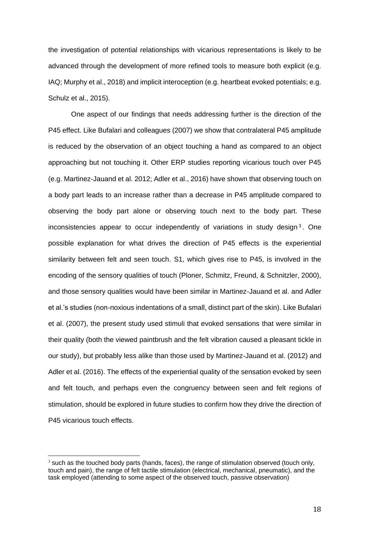the investigation of potential relationships with vicarious representations is likely to be advanced through the development of more refined tools to measure both explicit (e.g. IAQ; Murphy et al., 2018) and implicit interoception (e.g. heartbeat evoked potentials; e.g. Schulz et al., 2015).

One aspect of our findings that needs addressing further is the direction of the P45 effect. Like Bufalari and colleagues (2007) we show that contralateral P45 amplitude is reduced by the observation of an object touching a hand as compared to an object approaching but not touching it. Other ERP studies reporting vicarious touch over P45 (e.g. Martinez-Jauand et al. 2012; Adler et al., 2016) have shown that observing touch on a body part leads to an increase rather than a decrease in P45 amplitude compared to observing the body part alone or observing touch next to the body part. These inconsistencies appear to occur independently of variations in study design<sup>3</sup>. One possible explanation for what drives the direction of P45 effects is the experiential similarity between felt and seen touch. S1, which gives rise to P45, is involved in the encoding of the sensory qualities of touch (Ploner, Schmitz, Freund, & Schnitzler, 2000), and those sensory qualities would have been similar in Martinez-Jauand et al. and Adler et al.'s studies (non-noxious indentations of a small, distinct part of the skin). Like Bufalari et al. (2007), the present study used stimuli that evoked sensations that were similar in their quality (both the viewed paintbrush and the felt vibration caused a pleasant tickle in our study), but probably less alike than those used by Martinez-Jauand et al. (2012) and Adler et al. (2016). The effects of the experiential quality of the sensation evoked by seen and felt touch, and perhaps even the congruency between seen and felt regions of stimulation, should be explored in future studies to confirm how they drive the direction of P45 vicarious touch effects.

<u>.</u>

 $3$  such as the touched body parts (hands, faces), the range of stimulation observed (touch only, touch and pain), the range of felt tactile stimulation (electrical, mechanical, pneumatic), and the task employed (attending to some aspect of the observed touch, passive observation)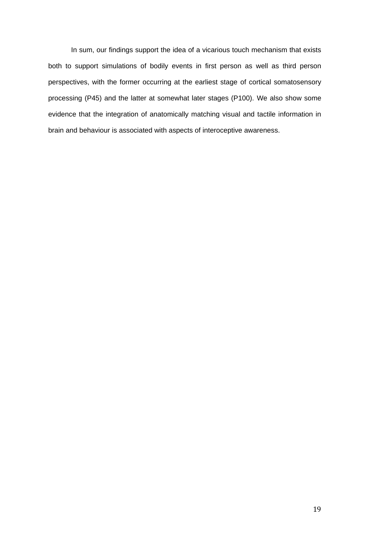In sum, our findings support the idea of a vicarious touch mechanism that exists both to support simulations of bodily events in first person as well as third person perspectives, with the former occurring at the earliest stage of cortical somatosensory processing (P45) and the latter at somewhat later stages (P100). We also show some evidence that the integration of anatomically matching visual and tactile information in brain and behaviour is associated with aspects of interoceptive awareness.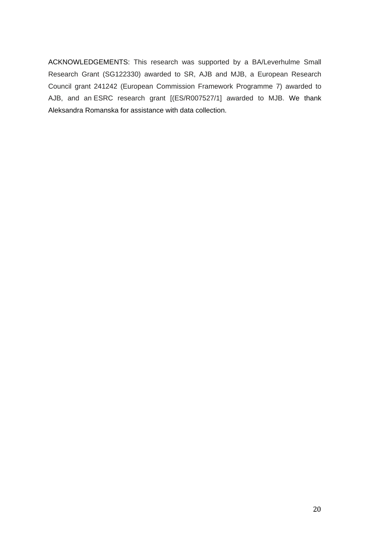ACKNOWLEDGEMENTS: This research was supported by a BA/Leverhulme Small Research Grant (SG122330) awarded to SR, AJB and MJB, a European Research Council grant 241242 (European Commission Framework Programme 7) awarded to AJB, and an ESRC research grant [(ES/R007527/1] awarded to MJB. We thank Aleksandra Romanska for assistance with data collection.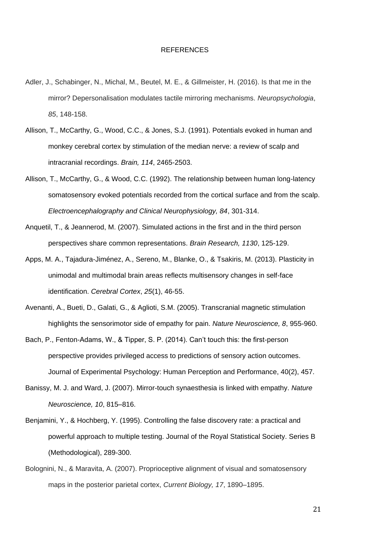#### REFERENCES

- Adler, J., Schabinger, N., Michal, M., Beutel, M. E., & Gillmeister, H. (2016). Is that me in the mirror? Depersonalisation modulates tactile mirroring mechanisms. *Neuropsychologia*, *85*, 148-158.
- Allison, T., McCarthy, G., Wood, C.C., & Jones, S.J. (1991). Potentials evoked in human and monkey cerebral cortex by stimulation of the median nerve: a review of scalp and intracranial recordings. *Brain, 114*, 2465-2503.
- Allison, T., McCarthy, G., & Wood, C.C. (1992). The relationship between human long-latency somatosensory evoked potentials recorded from the cortical surface and from the scalp. *Electroencephalography and Clinical Neurophysiology, 84*, 301-314.
- Anquetil, T., & Jeannerod, M. (2007). Simulated actions in the first and in the third person perspectives share common representations. *Brain Research, 1130*, 125-129.
- Apps, M. A., Tajadura-Jiménez, A., Sereno, M., Blanke, O., & Tsakiris, M. (2013). Plasticity in unimodal and multimodal brain areas reflects multisensory changes in self-face identification. *Cerebral Cortex*, *25*(1), 46-55.
- Avenanti, A., Bueti, D., Galati, G., & Aglioti, S.M. (2005). Transcranial magnetic stimulation highlights the sensorimotor side of empathy for pain. *Nature Neuroscience, 8*, 955-960.
- Bach, P., Fenton-Adams, W., & Tipper, S. P. (2014). Can't touch this: the first-person perspective provides privileged access to predictions of sensory action outcomes. Journal of Experimental Psychology: Human Perception and Performance, 40(2), 457.
- Banissy, M. J. and Ward, J. (2007). Mirror-touch synaesthesia is linked with empathy. *Nature Neuroscience, 10*, 815–816.
- Benjamini, Y., & Hochberg, Y. (1995). Controlling the false discovery rate: a practical and powerful approach to multiple testing. Journal of the Royal Statistical Society. Series B (Methodological), 289-300.
- Bolognini, N., & Maravita, A. (2007). Proprioceptive alignment of visual and somatosensory maps in the posterior parietal cortex, *Current Biology, 17*, 1890–1895.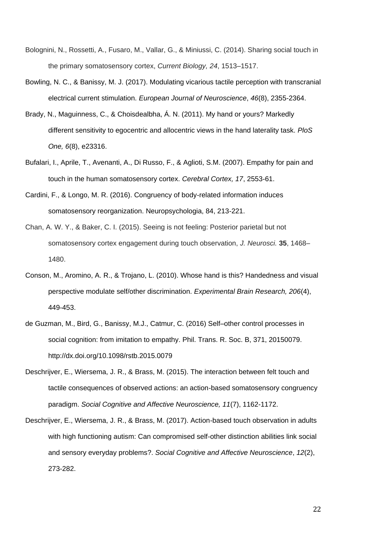- Bolognini, N., Rossetti, A., Fusaro, M., Vallar, G., & Miniussi, C. (2014). Sharing social touch in the primary somatosensory cortex, *Current Biology, 24*, 1513–1517.
- Bowling, N. C., & Banissy, M. J. (2017). Modulating vicarious tactile perception with transcranial electrical current stimulation. *European Journal of Neuroscience*, *46*(8), 2355-2364.
- Brady, N., Maguinness, C., & Choisdealbha, Á. N. (2011). My hand or yours? Markedly different sensitivity to egocentric and allocentric views in the hand laterality task. *PloS One, 6*(8), e23316.
- Bufalari, I., Aprile, T., Avenanti, A., Di Russo, F., & Aglioti, S.M. (2007). Empathy for pain and touch in the human somatosensory cortex. *Cerebral Cortex, 17*, 2553-61.
- Cardini, F., & Longo, M. R. (2016). Congruency of body-related information induces somatosensory reorganization. Neuropsychologia, 84, 213-221.
- Chan, A. W. Y., & Baker, C. I. (2015). Seeing is not feeling: Posterior parietal but not somatosensory cortex engagement during touch observation, *J. Neurosci.* **35**, 1468– 1480.
- Conson, M., Aromino, A. R., & Trojano, L. (2010). Whose hand is this? Handedness and visual perspective modulate self/other discrimination. *Experimental Brain Research, 206*(4), 449-453.
- de Guzman, M., Bird, G., Banissy, M.J., Catmur, C. (2016) Self–other control processes in social cognition: from imitation to empathy. Phil. Trans. R. Soc. B, 371, 20150079. http://dx.doi.org/10.1098/rstb.2015.0079
- Deschrijver, E., Wiersema, J. R., & Brass, M. (2015). The interaction between felt touch and tactile consequences of observed actions: an action-based somatosensory congruency paradigm. *Social Cognitive and Affective Neuroscience, 11*(7), 1162-1172.
- Deschrijver, E., Wiersema, J. R., & Brass, M. (2017). Action-based touch observation in adults with high functioning autism: Can compromised self-other distinction abilities link social and sensory everyday problems?. *Social Cognitive and Affective Neuroscience*, *12*(2), 273-282.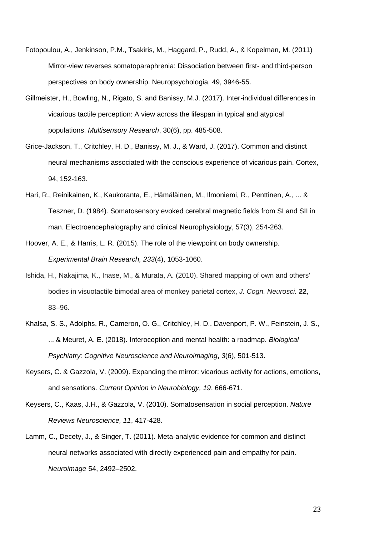- Fotopoulou, A., Jenkinson, P.M., Tsakiris, M., Haggard, P., Rudd, A., & Kopelman, M. (2011) Mirror-view reverses somatoparaphrenia: Dissociation between first- and third-person perspectives on body ownership. Neuropsychologia, 49, 3946-55.
- Gillmeister, H., Bowling, N., Rigato, S. and Banissy, M.J. (2017). Inter-individual differences in vicarious tactile perception: A view across the lifespan in typical and atypical populations. *Multisensory Research*, 30(6), pp. 485-508.
- Grice-Jackson, T., Critchley, H. D., Banissy, M. J., & Ward, J. (2017). Common and distinct neural mechanisms associated with the conscious experience of vicarious pain. Cortex, 94, 152-163.
- Hari, R., Reinikainen, K., Kaukoranta, E., Hämäläinen, M., Ilmoniemi, R., Penttinen, A., ... & Teszner, D. (1984). Somatosensory evoked cerebral magnetic fields from SI and SII in man. Electroencephalography and clinical Neurophysiology, 57(3), 254-263.
- Hoover, A. E., & Harris, L. R. (2015). The role of the viewpoint on body ownership. *Experimental Brain Research, 233*(4), 1053-1060.
- Ishida, H., Nakajima, K., Inase, M., & Murata, A. (2010). Shared mapping of own and others' bodies in visuotactile bimodal area of monkey parietal cortex, *J. Cogn. Neurosci.* **22**, 83–96.
- Khalsa, S. S., Adolphs, R., Cameron, O. G., Critchley, H. D., Davenport, P. W., Feinstein, J. S., ... & Meuret, A. E. (2018). Interoception and mental health: a roadmap. *Biological Psychiatry: Cognitive Neuroscience and Neuroimaging*, *3*(6), 501-513.
- Keysers, C. & Gazzola, V. (2009). Expanding the mirror: vicarious activity for actions, emotions, and sensations. *Current Opinion in Neurobiology, 19*, 666-671.
- Keysers, C., Kaas, J.H., & Gazzola, V. (2010). Somatosensation in social perception. *Nature Reviews Neuroscience, 11*, 417-428.
- Lamm, C., Decety, J., & Singer, T. (2011). Meta-analytic evidence for common and distinct neural networks associated with directly experienced pain and empathy for pain. *Neuroimage* 54, 2492–2502.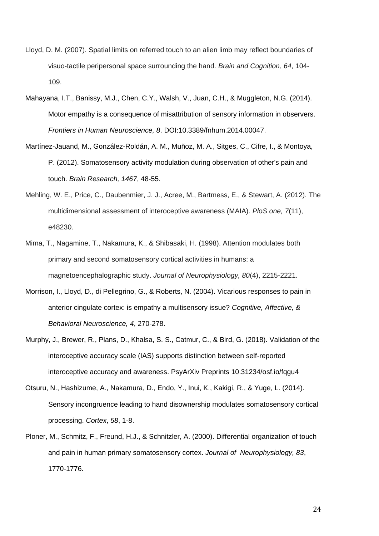- Lloyd, D. M. (2007). Spatial limits on referred touch to an alien limb may reflect boundaries of visuo-tactile peripersonal space surrounding the hand. *Brain and Cognition*, *64*, 104- 109.
- Mahayana, I.T., Banissy, M.J., Chen, C.Y., Walsh, V., Juan, C.H., & Muggleton, N.G. (2014). Motor empathy is a consequence of misattribution of sensory information in observers. *Frontiers in Human Neuroscience, 8*. DOI:10.3389/fnhum.2014.00047.
- Martínez-Jauand, M., González-Roldán, A. M., Muñoz, M. A., Sitges, C., Cifre, I., & Montoya, P. (2012). Somatosensory activity modulation during observation of other's pain and touch. *Brain Research, 1467*, 48-55.
- Mehling, W. E., Price, C., Daubenmier, J. J., Acree, M., Bartmess, E., & Stewart, A. (2012). The multidimensional assessment of interoceptive awareness (MAIA). *PloS one, 7*(11), e48230.
- Mima, T., Nagamine, T., Nakamura, K., & Shibasaki, H. (1998). Attention modulates both primary and second somatosensory cortical activities in humans: a magnetoencephalographic study. *Journal of Neurophysiology, 80*(4), 2215-2221.
- Morrison, I., Lloyd, D., di Pellegrino, G., & Roberts, N. (2004). Vicarious responses to pain in anterior cingulate cortex: is empathy a multisensory issue? *Cognitive, Affective, & Behavioral Neuroscience, 4*, 270-278.
- Murphy, J., Brewer, R., Plans, D., Khalsa, S. S., Catmur, C., & Bird, G. (2018). Validation of the interoceptive accuracy scale (IAS) supports distinction between self-reported interoceptive accuracy and awareness. PsyArXiv Preprints 10.31234/osf.io/fqgu4
- Otsuru, N., Hashizume, A., Nakamura, D., Endo, Y., Inui, K., Kakigi, R., & Yuge, L. (2014). Sensory incongruence leading to hand disownership modulates somatosensory cortical processing. *Cortex*, *58*, 1-8.
- Ploner, M., Schmitz, F., Freund, H.J., & Schnitzler, A. (2000). Differential organization of touch and pain in human primary somatosensory cortex. *Journal of Neurophysiology, 83*, 1770-1776.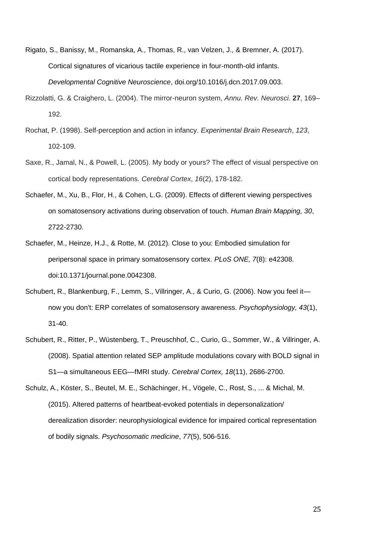- Rigato, S., Banissy, M., Romanska, A., Thomas, R., van Velzen, J., & Bremner, A. (2017). Cortical signatures of vicarious tactile experience in four-month-old infants. *Developmental Cognitive Neuroscience*, doi.org/10.1016/j.dcn.2017.09.003.
- Rizzolatti, G. & Craighero, L. (2004). The mirror-neuron system, *Annu. Rev. Neurosci*. **27**, 169– 192.
- Rochat, P. (1998). Self-perception and action in infancy. *Experimental Brain Research*, *123*, 102-109.
- Saxe, R., Jamal, N., & Powell, L. (2005). My body or yours? The effect of visual perspective on cortical body representations. *Cerebral Cortex*, *16*(2), 178-182.
- Schaefer, M., Xu, B., Flor, H., & Cohen, L.G. (2009). Effects of different viewing perspectives on somatosensory activations during observation of touch. *Human Brain Mapping, 30*, 2722-2730.
- Schaefer, M., Heinze, H.J., & Rotte, M. (2012). Close to you: Embodied simulation for peripersonal space in primary somatosensory cortex. *PLoS ONE, 7*(8): e42308. doi:10.1371/journal.pone.0042308.
- Schubert, R., Blankenburg, F., Lemm, S., Villringer, A., & Curio, G. (2006). Now you feel it now you don't: ERP correlates of somatosensory awareness. *Psychophysiology, 43*(1), 31-40.
- Schubert, R., Ritter, P., Wüstenberg, T., Preuschhof, C., Curio, G., Sommer, W., & Villringer, A. (2008). Spatial attention related SEP amplitude modulations covary with BOLD signal in S1—a simultaneous EEG—fMRI study. *Cerebral Cortex, 18*(11), 2686-2700.
- Schulz, A., Köster, S., Beutel, M. E., Schächinger, H., Vögele, C., Rost, S., ... & Michal, M. (2015). Altered patterns of heartbeat-evoked potentials in depersonalization/ derealization disorder: neurophysiological evidence for impaired cortical representation of bodily signals. *Psychosomatic medicine*, *77*(5), 506-516.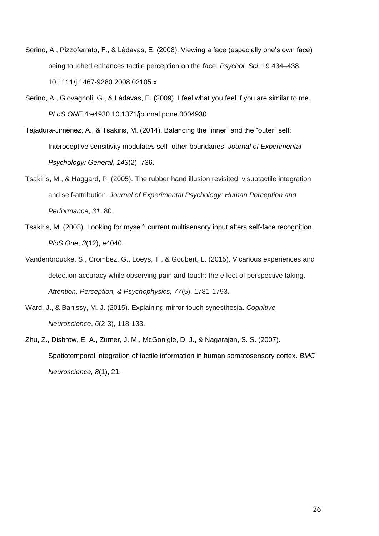- Serino, A., Pizzoferrato, F., & Làdavas, E. (2008). Viewing a face (especially one's own face) being touched enhances tactile perception on the face. *Psychol. Sci.* 19 434–438 10.1111/j.1467-9280.2008.02105.x
- Serino, A., Giovagnoli, G., & Làdavas, E. (2009). I feel what you feel if you are similar to me. *PLoS ONE* 4:e4930 10.1371/journal.pone.0004930
- Tajadura-Jiménez, A., & Tsakiris, M. (2014). Balancing the "inner" and the "outer" self: Interoceptive sensitivity modulates self–other boundaries. *Journal of Experimental Psychology: General*, *143*(2), 736.
- Tsakiris, M., & Haggard, P. (2005). The rubber hand illusion revisited: visuotactile integration and self-attribution. *Journal of Experimental Psychology: Human Perception and Performance*, *31*, 80.
- Tsakiris, M. (2008). Looking for myself: current multisensory input alters self-face recognition. *PloS One*, *3*(12), e4040.
- Vandenbroucke, S., Crombez, G., Loeys, T., & Goubert, L. (2015). Vicarious experiences and detection accuracy while observing pain and touch: the effect of perspective taking. *Attention, Perception, & Psychophysics, 77*(5), 1781-1793.
- Ward, J., & Banissy, M. J. (2015). Explaining mirror-touch synesthesia. *Cognitive Neuroscience*, *6*(2-3), 118-133.
- Zhu, Z., Disbrow, E. A., Zumer, J. M., McGonigle, D. J., & Nagarajan, S. S. (2007). Spatiotemporal integration of tactile information in human somatosensory cortex. *BMC Neuroscience, 8*(1), 21.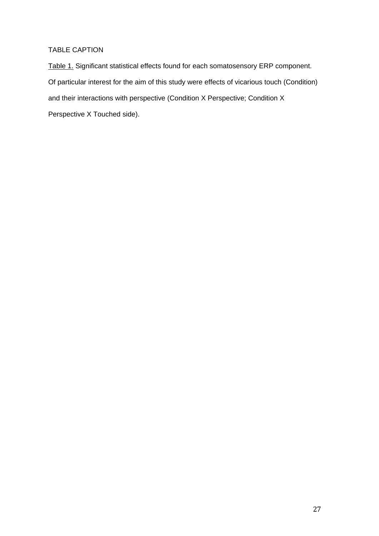## TABLE CAPTION

Table 1. Significant statistical effects found for each somatosensory ERP component. Of particular interest for the aim of this study were effects of vicarious touch (Condition) and their interactions with perspective (Condition X Perspective; Condition X Perspective X Touched side).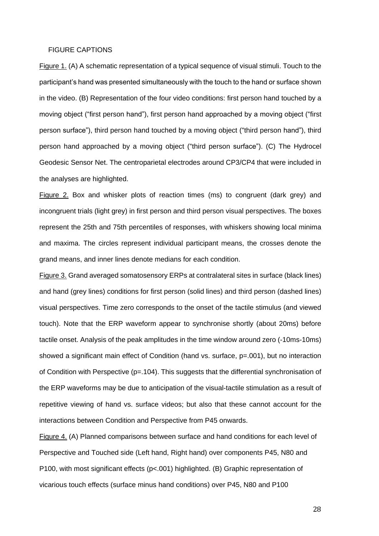#### FIGURE CAPTIONS

Figure 1. (A) A schematic representation of a typical sequence of visual stimuli. Touch to the participant's hand was presented simultaneously with the touch to the hand or surface shown in the video. (B) Representation of the four video conditions: first person hand touched by a moving object ("first person hand"), first person hand approached by a moving object ("first person surface"), third person hand touched by a moving object ("third person hand"), third person hand approached by a moving object ("third person surface"). (C) The Hydrocel Geodesic Sensor Net. The centroparietal electrodes around CP3/CP4 that were included in the analyses are highlighted.

Figure 2. Box and whisker plots of reaction times (ms) to congruent (dark grey) and incongruent trials (light grey) in first person and third person visual perspectives. The boxes represent the 25th and 75th percentiles of responses, with whiskers showing local minima and maxima. The circles represent individual participant means, the crosses denote the grand means, and inner lines denote medians for each condition.

Figure 3. Grand averaged somatosensory ERPs at contralateral sites in surface (black lines) and hand (grey lines) conditions for first person (solid lines) and third person (dashed lines) visual perspectives. Time zero corresponds to the onset of the tactile stimulus (and viewed touch). Note that the ERP waveform appear to synchronise shortly (about 20ms) before tactile onset. Analysis of the peak amplitudes in the time window around zero (-10ms-10ms) showed a significant main effect of Condition (hand vs. surface,  $p=0.001$ ), but no interaction of Condition with Perspective (p=.104). This suggests that the differential synchronisation of the ERP waveforms may be due to anticipation of the visual-tactile stimulation as a result of repetitive viewing of hand vs. surface videos; but also that these cannot account for the interactions between Condition and Perspective from P45 onwards.

Figure 4. (A) Planned comparisons between surface and hand conditions for each level of Perspective and Touched side (Left hand, Right hand) over components P45, N80 and P100, with most significant effects (p<.001) highlighted. (B) Graphic representation of vicarious touch effects (surface minus hand conditions) over P45, N80 and P100